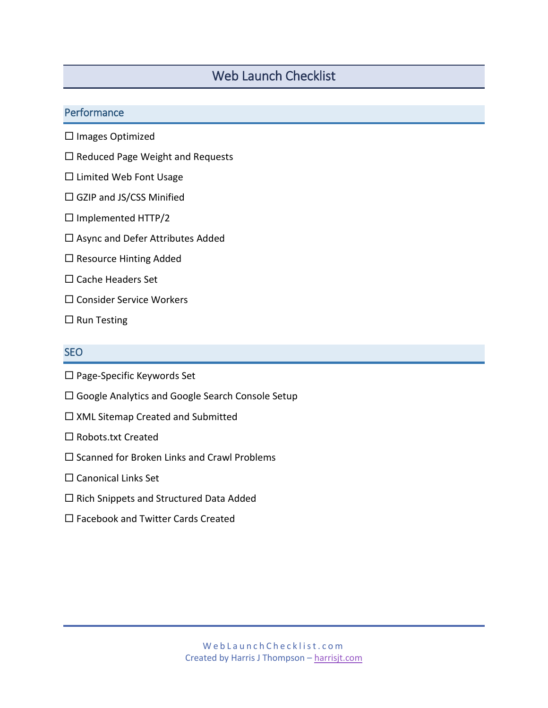# Web Launch Checklist

# **Performance**

- $\square$  Images Optimized
- $\square$  Reduced Page Weight and Requests
- □ Limited Web Font Usage
- □ GZIP and JS/CSS Minified
- $\Box$  Implemented HTTP/2
- $\square$  Async and Defer Attributes Added
- $\square$  Resource Hinting Added
- $\square$  Cache Headers Set
- $\square$  Consider Service Workers
- $\square$  Run Testing

# SEO

- $\square$  Page-Specific Keywords Set
- □ Google Analytics and Google Search Console Setup
- □ XML Sitemap Created and Submitted
- $\square$  Robots.txt Created
- $\square$  Scanned for Broken Links and Crawl Problems
- $\square$  Canonical Links Set
- $\square$  Rich Snippets and Structured Data Added
- $\square$  Facebook and Twitter Cards Created